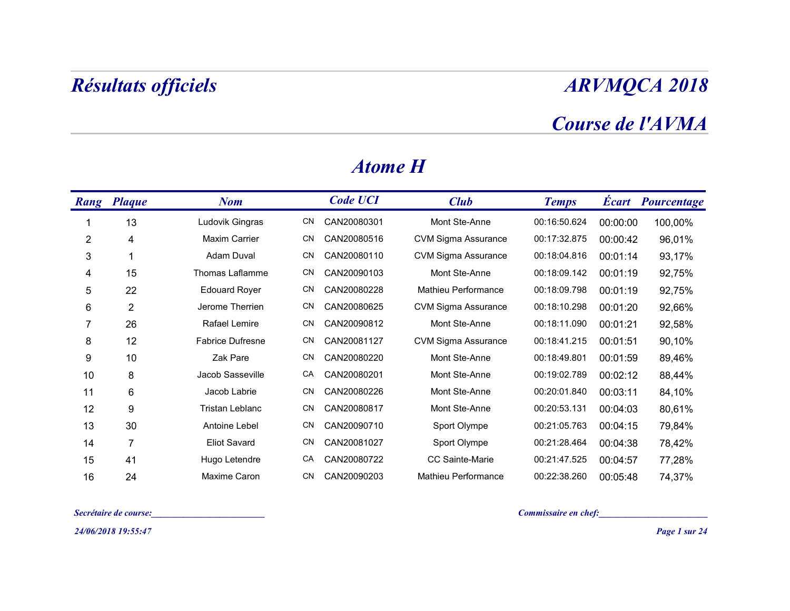### Course de l'AVMA

| <b>ARVMQCA 2018</b>                      |                            |                 |    |                         | Résultats officiels   |                |
|------------------------------------------|----------------------------|-----------------|----|-------------------------|-----------------------|----------------|
| Course de l'AVMA                         |                            |                 |    |                         |                       |                |
|                                          |                            | <b>Atome H</b>  |    |                         |                       |                |
| <b>Écart Pourcentage</b><br><b>Temps</b> | <b>Club</b>                | <b>Code UCI</b> |    | <b>Nom</b>              | <b>Rang Plaque</b>    |                |
| 00:16:50.624<br>00:00:00<br>100,00%      | Mont Ste-Anne              | CAN20080301     | CN | Ludovik Gingras         | 13                    | -1             |
| 00:17:32.875<br>96,01%<br>00:00:42       | <b>CVM Sigma Assurance</b> | CAN20080516     | CN | <b>Maxim Carrier</b>    | 4                     | $\overline{c}$ |
| 00:18:04.816<br>00:01:14<br>93,17%       | <b>CVM Sigma Assurance</b> | CAN20080110     | CN | Adam Duval              | -1                    | $\mathbf{3}$   |
| 00:18:09.142<br>00:01:19<br>92,75%       | Mont Ste-Anne              | CAN20090103     | CN | Thomas Laflamme         | 15                    | 4              |
| 00:18:09.798<br>92,75%<br>00:01:19       | Mathieu Performance        | CAN20080228     | CN | <b>Edouard Royer</b>    | 22                    | $\sqrt{5}$     |
| 00:18:10.298<br>00:01:20<br>92,66%       | <b>CVM Sigma Assurance</b> | CAN20080625     | CN | Jerome Therrien         | $\overline{2}$        | 6              |
| 00:18:11.090<br>92,58%<br>00:01:21       | Mont Ste-Anne              | CAN20090812     | CN | Rafael Lemire           | 26                    | $\overline{7}$ |
| 00:18:41.215<br>00:01:51<br>90,10%       | <b>CVM Sigma Assurance</b> | CAN20081127     | CN | <b>Fabrice Dufresne</b> | 12                    | $\,8\,$        |
| 00:18:49.801<br>89,46%<br>00:01:59       | Mont Ste-Anne              | CAN20080220     | CN | Zak Pare                | 10                    | 9              |
| 88,44%<br>00:19:02.789<br>00:02:12       | Mont Ste-Anne              | CAN20080201     | CA | Jacob Sasseville        | 8                     | 10             |
| 00:20:01.840   00:03:11<br>84,10%        | Mont Ste-Anne              | CN CAN20080226  |    | Jacob Labrie            | 6                     | 11             |
| 00:20:53.131<br>00:04:03<br>80,61%       | Mont Ste-Anne              | CN CAN20080817  |    | Tristan Leblanc         | 9                     | 12             |
| 00:21:05.763<br>00:04:15<br>79,84%       | Sport Olympe               | CN CAN20090710  |    | Antoine Lebel           | $30\,$                | 13             |
| 00:21:28.464<br>00:04:38<br>78,42%       | Sport Olympe               | CN CAN20081027  |    | <b>Eliot Savard</b>     | $\overline{7}$        | 14             |
| 00:21:47.525<br>00:04:57<br>77,28%       | CC Sainte-Marie            | CA CAN20080722  |    | Hugo Letendre           | 41                    | 15             |
| 00:22:38.260<br>74,37%<br>00:05:48       | Mathieu Performance        | CN CAN20090203  |    | Maxime Caron            | 24                    | 16             |
| Commissaire en chef:                     |                            |                 |    |                         | Secrétaire de course: |                |
| Page 1 sur 24                            |                            |                 |    |                         | 24/06/2018 19:55:47   |                |

#### Atome H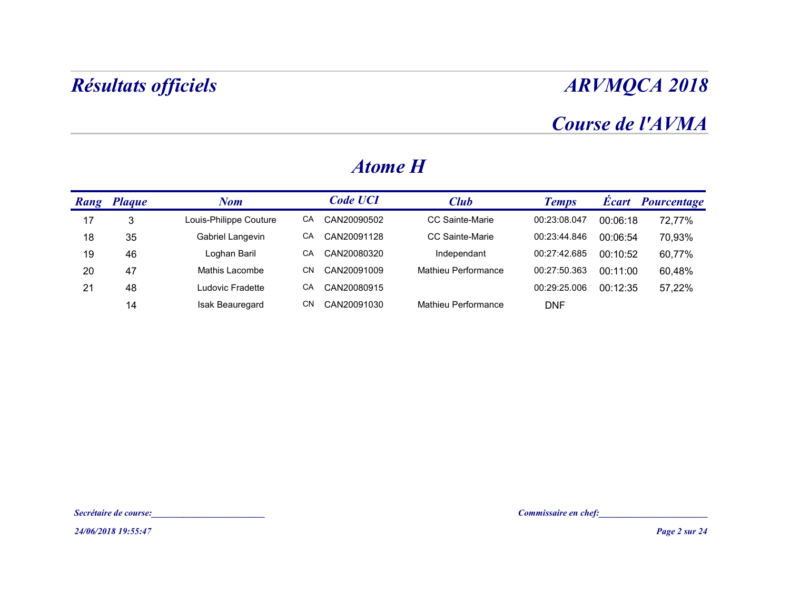## Course de l'AVMA

|    | Résultats officiels   |                        |                   |                     |                      |          | <b>ARVMQCA 2018</b>      |
|----|-----------------------|------------------------|-------------------|---------------------|----------------------|----------|--------------------------|
|    |                       |                        |                   |                     |                      |          | Course de l'AVMA         |
|    |                       |                        | <b>Atome H</b>    |                     |                      |          |                          |
|    | <b>Rang Plaque</b>    | <b>Nom</b>             | <b>Code UCI</b>   | <b>Club</b>         | <b>Temps</b>         |          | <b>Écart</b> Pourcentage |
| 17 | $\sqrt{3}$            | Louis-Philippe Couture | CAN20090502<br>CA | CC Sainte-Marie     | 00:23:08.047         | 00:06:18 | 72,77%                   |
| 18 | 35                    | Gabriel Langevin       | CAN20091128<br>CA | CC Sainte-Marie     | 00:23:44.846         | 00:06:54 | 70,93%                   |
| 19 | 46                    | Loghan Baril           | CA<br>CAN20080320 | Independant         | 00:27:42.685         | 00:10:52 | 60,77%                   |
| 20 | 47                    | Mathis Lacombe         | CAN20091009<br>CN | Mathieu Performance | 00:27:50.363         | 00:11:00 | 60,48%                   |
| 21 | 48                    | Ludovic Fradette       | CA<br>CAN20080915 |                     | 00:29:25.006         | 00:12:35 | 57,22%                   |
|    | 14                    | Isak Beauregard        | CN CAN20091030    | Mathieu Performance | <b>DNF</b>           |          |                          |
|    |                       |                        |                   |                     |                      |          |                          |
|    |                       |                        |                   |                     |                      |          |                          |
|    |                       |                        |                   |                     |                      |          |                          |
|    |                       |                        |                   |                     |                      |          |                          |
|    | Secrétaire de course: |                        |                   |                     | Commissaire en chef: |          |                          |
|    | 24/06/2018 19:55:47   |                        |                   |                     |                      |          | Page 2 sur 24            |

#### Atome H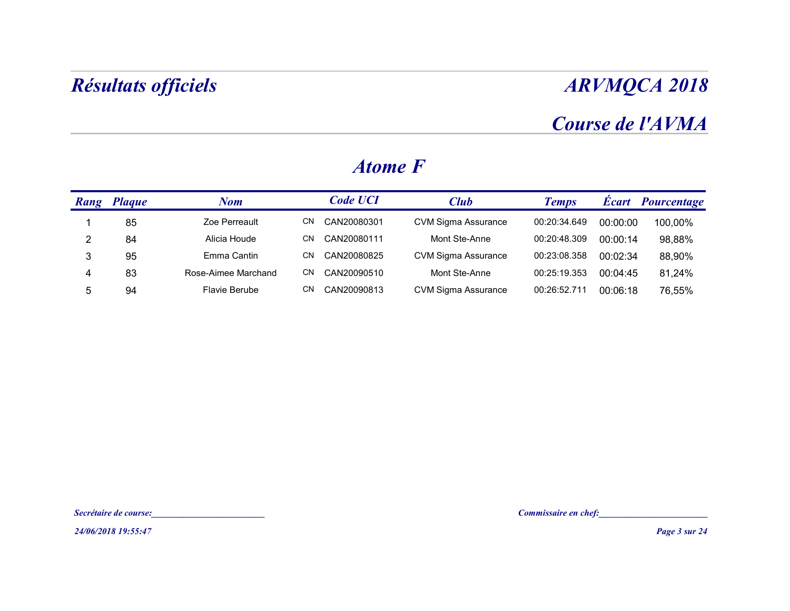## Course de l'AVMA

| <b>ARVMQCA 2018</b> |          |              |                            |                 |                     | Résultats officiels   |                |
|---------------------|----------|--------------|----------------------------|-----------------|---------------------|-----------------------|----------------|
| Course de l'AVMA    |          |              |                            |                 |                     |                       |                |
|                     |          |              |                            | <b>Atome F</b>  |                     |                       |                |
| Écart Pourcentage   |          | <b>Temps</b> | <b>Club</b>                | <b>Code UCI</b> | <b>Nom</b>          | <b>Rang Plaque</b>    |                |
| 100,00%             | 00:00:00 | 00:20:34.649 | <b>CVM Sigma Assurance</b> | CN CAN20080301  | Zoe Perreault       | 85                    | $\mathbf{1}$   |
| 98,88%              | 00:00:14 | 00:20:48.309 | Mont Ste-Anne              | CN CAN20080111  | Alicia Houde        | 84                    | $\overline{2}$ |
| 88,90%              | 00:02:34 | 00:23:08.358 | <b>CVM Sigma Assurance</b> | CN CAN20080825  | Emma Cantin         | 95                    | $\mathfrak{S}$ |
| 81,24%              | 00:04:45 | 00:25:19.353 | Mont Ste-Anne              | CN CAN20090510  | Rose-Aimee Marchand | 83                    | $\overline{4}$ |
| 76,55%              | 00:06:18 | 00:26:52.711 | <b>CVM Sigma Assurance</b> | CN CAN20090813  | Flavie Berube       | 94                    | $\sqrt{5}$     |
|                     |          |              |                            |                 |                     |                       |                |
|                     |          |              |                            |                 |                     | Secrétaire de course: |                |
| Page 3 sur 24       |          |              |                            |                 |                     | 24/06/2018 19:55:47   |                |

#### Atome F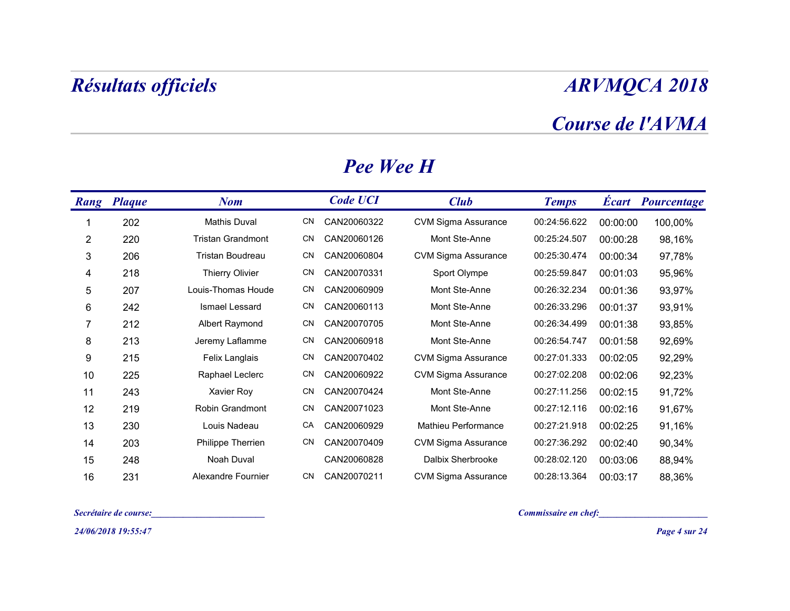### Course de l'AVMA

| Résultats officiels              |     |                  |                            |                      |          | <b>ARVMQCA 2018</b>      |
|----------------------------------|-----|------------------|----------------------------|----------------------|----------|--------------------------|
|                                  |     |                  |                            |                      |          | Course de l'AVMA         |
|                                  |     | <b>Pee Wee H</b> |                            |                      |          |                          |
| <b>Rang Plaque</b><br><b>Nom</b> |     | <b>Code UCI</b>  | Club                       | <b>Temps</b>         |          | <b>Écart</b> Pourcentage |
| 202<br><b>Mathis Duval</b>       | CN  | CAN20060322      | <b>CVM Sigma Assurance</b> | 00:24:56.622         | 00:00:00 | 100,00%                  |
| <b>Tristan Grandmont</b><br>220  | CN. | CAN20060126      | Mont Ste-Anne              | 00:25:24.507         | 00:00:28 | 98,16%                   |
| Tristan Boudreau<br>206          | CN  | CAN20060804      | CVM Sigma Assurance        | 00:25:30.474         | 00:00:34 | 97,78%                   |
| 218<br><b>Thierry Olivier</b>    | CN  | CAN20070331      | Sport Olympe               | 00:25:59.847         | 00:01:03 | 95,96%                   |
| 207<br>Louis-Thomas Houde        | CN. | CAN20060909      | Mont Ste-Anne              | 00:26:32.234         | 00:01:36 | 93,97%                   |
| 242<br>Ismael Lessard            | CN  | CAN20060113      | Mont Ste-Anne              | 00:26:33.296         | 00:01:37 | 93,91%                   |
| Albert Raymond<br>212            | CN  | CAN20070705      | Mont Ste-Anne              | 00:26:34.499         | 00:01:38 | 93,85%                   |
| 213<br>Jeremy Laflamme           | CN  | CAN20060918      | Mont Ste-Anne              | 00:26:54.747         | 00:01:58 | 92,69%                   |
| 215<br>Felix Langlais            |     | CN CAN20070402   | CVM Sigma Assurance        | 00:27:01.333         | 00:02:05 | 92,29%                   |
| 225<br>Raphael Leclerc           | CN. | CAN20060922      | CVM Sigma Assurance        | 00:27:02.208         | 00:02:06 | 92,23%                   |
| 243<br>Xavier Roy                |     | CN CAN20070424   | Mont Ste-Anne              | 00:27:11.256         | 00:02:15 | 91,72%                   |
| Robin Grandmont<br>219           |     | CN CAN20071023   | Mont Ste-Anne              | 00:27:12.116         | 00:02:16 | 91,67%                   |
| Louis Nadeau<br>230              |     | CA CAN20060929   | Mathieu Performance        | 00:27:21.918         | 00:02:25 | 91,16%                   |
| Philippe Therrien<br>203         |     | CN CAN20070409   | <b>CVM Sigma Assurance</b> | 00:27:36.292         | 00:02:40 | 90,34%                   |
| Noah Duval<br>248                |     | CAN20060828      | Dalbix Sherbrooke          | 00:28:02.120         | 00:03:06 | 88,94%                   |
| Alexandre Fournier<br>231        |     | CN CAN20070211   | <b>CVM Sigma Assurance</b> | 00:28:13.364         | 00:03:17 | 88,36%                   |
| Secrétaire de course:            |     |                  |                            | Commissaire en chef: |          |                          |
| 24/06/2018 19:55:47              |     |                  |                            |                      |          | Page 4 sur 24            |

#### Pee Wee H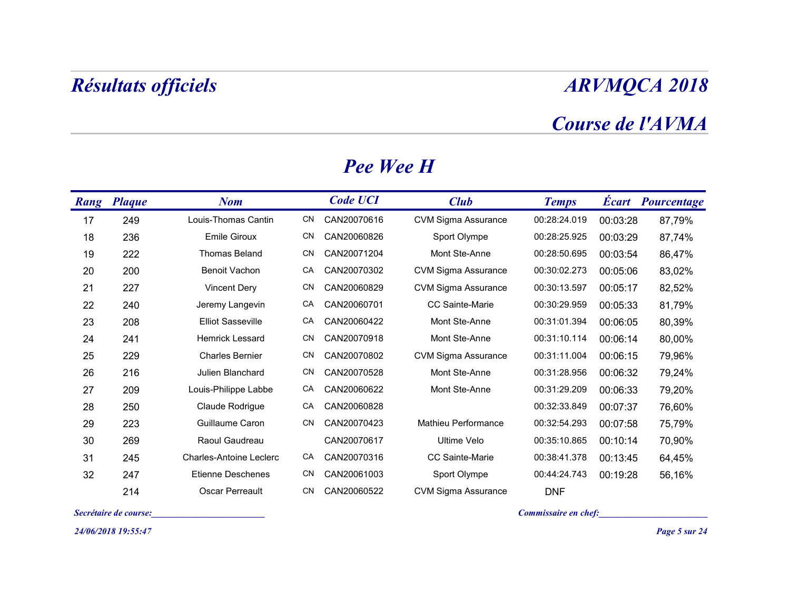### Course de l'AVMA

|      | Résultats officiels   |                                         |     |                  |                            | <b>ARVMQCA 2018</b>  |          |                          |  |  |  |
|------|-----------------------|-----------------------------------------|-----|------------------|----------------------------|----------------------|----------|--------------------------|--|--|--|
|      |                       |                                         |     |                  |                            |                      |          | Course de l'AVMA         |  |  |  |
|      |                       |                                         |     | <b>Pee Wee H</b> |                            |                      |          |                          |  |  |  |
| Rang | <b>Plaque</b>         | <b>Nom</b>                              |     | <b>Code UCI</b>  | <b>Club</b>                | <b>Temps</b>         |          | <b>Écart</b> Pourcentage |  |  |  |
| 17   | 249                   | Louis-Thomas Cantin                     | CN  | CAN20070616      | <b>CVM Sigma Assurance</b> | 00:28:24.019         | 00:03:28 | 87,79%                   |  |  |  |
| 18   | 236                   | <b>Emile Giroux</b>                     | CN  | CAN20060826      | Sport Olympe               | 00:28:25.925         | 00:03:29 | 87,74%                   |  |  |  |
| 19   | 222                   | Thomas Beland                           | CN  | CAN20071204      | Mont Ste-Anne              | 00:28:50.695         | 00:03:54 | 86,47%                   |  |  |  |
| 20   | 200                   | <b>Benoit Vachon</b>                    | CA  | CAN20070302      | CVM Sigma Assurance        | 00:30:02.273         | 00:05:06 | 83,02%                   |  |  |  |
| 21   | 227                   | <b>Vincent Dery</b>                     | CN  | CAN20060829      | <b>CVM Sigma Assurance</b> | 00:30:13.597         | 00:05:17 | 82,52%                   |  |  |  |
| 22   | 240                   | Jeremy Langevin                         | CA  | CAN20060701      | CC Sainte-Marie            | 00:30:29.959         | 00:05:33 | 81,79%                   |  |  |  |
| 23   | 208                   | <b>Elliot Sasseville</b>                | CA  | CAN20060422      | Mont Ste-Anne              | 00:31:01.394         | 00:06:05 | 80,39%                   |  |  |  |
| 24   | 241                   | Hemrick Lessard                         | CN  | CAN20070918      | Mont Ste-Anne              | 00:31:10.114         | 00:06:14 | 80,00%                   |  |  |  |
| 25   | 229                   | <b>Charles Bernier</b>                  | CN  | CAN20070802      | <b>CVM Sigma Assurance</b> | 00:31:11.004         | 00:06:15 | 79,96%                   |  |  |  |
| 26   | 216                   | Julien Blanchard                        | CN  | CAN20070528      | Mont Ste-Anne              | 00:31:28.956         | 00:06:32 | 79,24%                   |  |  |  |
| 27   | 209                   | Louis-Philippe Labbe                    | CA  | CAN20060622      | Mont Ste-Anne              | 00:31:29.209         | 00:06:33 | 79,20%                   |  |  |  |
| 28   | 250                   | Claude Rodrigue                         |     | CA CAN20060828   |                            | 00:32:33.849         | 00:07:37 | 76,60%                   |  |  |  |
| 29   | 223                   | Guillaume Caron                         |     | CN CAN20070423   | Mathieu Performance        | 00:32:54.293         | 00:07:58 | 75,79%                   |  |  |  |
| 30   | 269                   | Raoul Gaudreau                          |     | CAN20070617      | Ultime Velo                | 00:35:10.865         | 00:10:14 | 70,90%                   |  |  |  |
| 31   | 245                   | Charles-Antoine Leclerc                 | CA  | CAN20070316      | CC Sainte-Marie            | 00:38:41.378         | 00:13:45 | 64,45%                   |  |  |  |
| 32   | 247                   | Etienne Deschenes                       | CN. | CAN20061003      | Sport Olympe               | 00:44:24.743         | 00:19:28 | 56,16%                   |  |  |  |
|      | 214                   | Oscar Perreault                         | CN  | CAN20060522      | <b>CVM Sigma Assurance</b> | <b>DNF</b>           |          |                          |  |  |  |
|      | Secrétaire de course: | <u> 1999 - Johann Barbara, martin a</u> |     |                  |                            | Commissaire en chef: |          |                          |  |  |  |
|      | 24/06/2018 19:55:47   |                                         |     |                  |                            |                      |          | Page 5 sur 24            |  |  |  |

#### Pee Wee H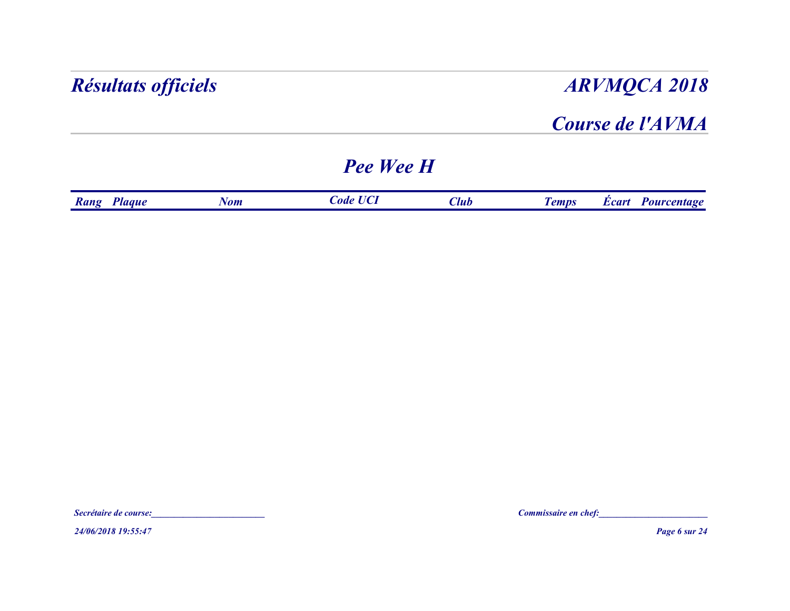#### Course de l'AVMA

### Pee Wee H

| <b>ARVMQCA 2018</b>      |             |                  |            | Résultats officiels |
|--------------------------|-------------|------------------|------------|---------------------|
| Course de l'AVMA         |             |                  |            |                     |
|                          |             | <b>Pee Wee H</b> |            |                     |
| <b>Écart</b> Pourcentage | <b>Club</b> | <b>Code UCI</b>  | <b>Nom</b> | Rang Plaque         |

24/06/2018 19:55:47 Page 6 sur 24 Secrétaire de course:<br>Secrétaire de course:<br>24/06/2018 19:55:47<br>Page 6 sur 24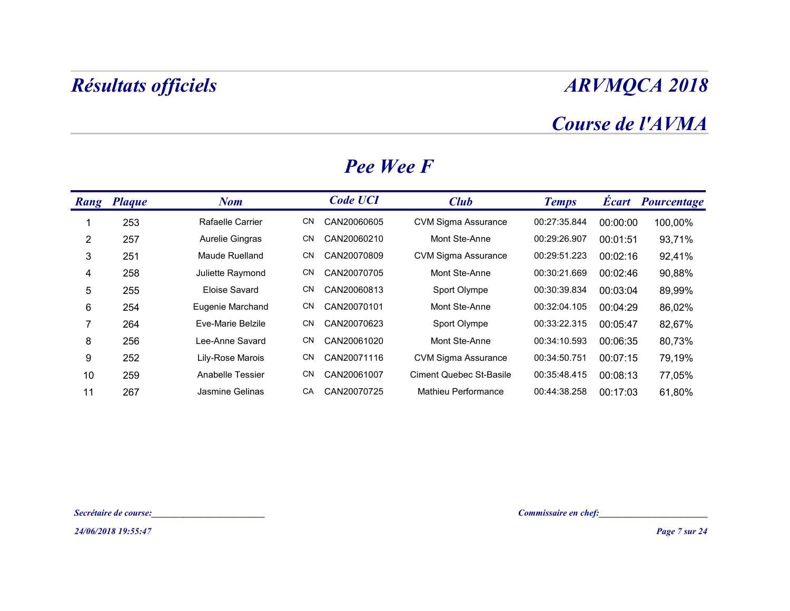### Course de l'AVMA

| <b>ARVMQCA 2018</b>                                        |                          |  |                 |      |                                                | Résultats officiels   |                |
|------------------------------------------------------------|--------------------------|--|-----------------|------|------------------------------------------------|-----------------------|----------------|
| Course de l'AVMA<br>Pee Wee F                              |                          |  |                 |      |                                                |                       |                |
| <b>Club</b><br><b>Temps</b>                                | <b>Écart Pourcentage</b> |  | <b>Code UCI</b> |      | <b>Nom</b>                                     | Rang Plaque           |                |
| <b>CVM Sigma Assurance</b><br>00:27:35.844<br>00:00:00     | 100,00%                  |  | CAN20060605     | CN   | Rafaelle Carrier                               | 253                   | -1             |
| Mont Ste-Anne<br>00:29:26.907<br>00:01:51                  | 93,71%                   |  | CAN20060210     | CN   | Aurelie Gingras                                | 257                   | 2              |
| 00:29:51.223<br><b>CVM Sigma Assurance</b><br>00:02:16     | 92,41%                   |  | CAN20070809     | CN   | Maude Ruelland                                 | 251                   | 3              |
| 00:30:21.669<br>Mont Ste-Anne<br>00:02:46                  | 90,88%                   |  | CAN20070705     | CN   | Juliette Raymond                               | 258                   | 4              |
| 00:30:39.834<br>Sport Olympe<br>00:03:04                   | 89,99%                   |  | CAN20060813     | CN   | Eloise Savard                                  | 255                   | $\,$ 5 $\,$    |
| 00:32:04.105<br>Mont Ste-Anne<br>00:04:29                  | 86,02%                   |  | CAN20070101     | CN   | Eugenie Marchand                               | 254                   | 6              |
| 00:33:22.315<br>Sport Olympe<br>00:05:47                   | 82,67%                   |  | CAN20070623     | CN   | Eve-Marie Belzile                              | 264                   | $\overline{7}$ |
| Mont Ste-Anne<br>00:34:10.593<br>00:06:35                  | 80,73%                   |  | CN CAN20061020  |      | Lee-Anne Savard                                | 256                   | 8              |
| <b>CVM Sigma Assurance</b><br>00:34:50.751<br>00:07:15     | 79,19%                   |  | CN CAN20071116  |      | Lily-Rose Marois                               | 252                   | 9              |
| <b>Ciment Quebec St-Basile</b><br>00:35:48.415<br>00:08:13 | 77,05%                   |  | CAN20061007     | CN . | Anabelle Tessier                               | 259                   | 10             |
| 00:44:38.258 00:17:03<br>Mathieu Performance               | 61,80%                   |  | CA CAN20070725  |      | Jasmine Gelinas                                | 267                   | 11             |
|                                                            |                          |  |                 |      |                                                |                       |                |
| Commissaire en chef:                                       |                          |  |                 |      | <u> 1980 - Jan Barbara Barbara, manazarta </u> | Secrétaire de course: |                |
|                                                            | Page 7 sur 24            |  |                 |      |                                                | 24/06/2018 19:55:47   |                |

#### Pee Wee F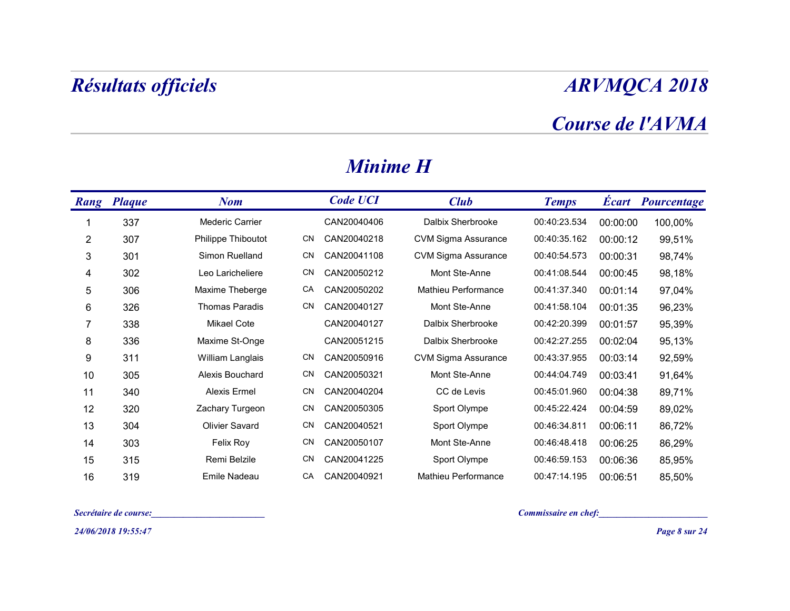### Course de l'AVMA

| <b>ARVMQCA 2018</b>      |          |                      |                            |                 |      |                                | <b>Résultats officiels</b> |                |
|--------------------------|----------|----------------------|----------------------------|-----------------|------|--------------------------------|----------------------------|----------------|
| Course de l'AVMA         |          |                      |                            |                 |      |                                |                            |                |
|                          |          |                      |                            | <b>Minime H</b> |      |                                |                            |                |
| <b>Écart Pourcentage</b> |          | <b>Temps</b>         | <b>Club</b>                | <b>Code UCI</b> |      | <b>Nom</b>                     | Rang Plaque                |                |
| 100,00%                  | 00:00:00 | 00:40:23.534         | Dalbix Sherbrooke          | CAN20040406     |      | <b>Mederic Carrier</b>         | 337                        | -1             |
| 99,51%                   | 00:00:12 | 00:40:35.162         | CVM Sigma Assurance        | CAN20040218     | CN   | Philippe Thiboutot             | 307                        | $\overline{2}$ |
| 98,74%                   | 00:00:31 | 00:40:54.573         | <b>CVM Sigma Assurance</b> | CAN20041108     | CN.  | Simon Ruelland                 | 301                        | 3              |
| 98,18%                   | 00:00:45 | 00:41:08.544         | Mont Ste-Anne              | CAN20050212     | CN   | Leo Laricheliere               | 302                        | 4              |
| 97,04%                   | 00:01:14 | 00:41:37.340         | Mathieu Performance        | CAN20050202     | CA   | Maxime Theberge                | 306                        | $\sqrt{5}$     |
| 96,23%                   | 00:01:35 | 00:41:58.104         | Mont Ste-Anne              | CAN20040127     | CN   | Thomas Paradis                 | 326                        | 6              |
| 95,39%                   | 00:01:57 | 00:42:20.399         | Dalbix Sherbrooke          | CAN20040127     |      | <b>Mikael Cote</b>             | 338                        | $\overline{7}$ |
| 95,13%                   | 00:02:04 | 00:42:27.255         | Dalbix Sherbrooke          | CAN20051215     |      | Maxime St-Onge                 | 336                        | 8              |
| 92,59%                   | 00:03:14 | 00:43:37.955         | CVM Sigma Assurance        | CAN20050916     | CN.  | William Langlais               | 311                        | 9              |
| 91,64%                   | 00:03:41 | 00:44:04.749         | Mont Ste-Anne              | CAN20050321     | CN.  | Alexis Bouchard                | 305                        | 10             |
| 89,71%                   | 00:04:38 | 00:45:01.960         | CC de Levis                | CN CAN20040204  |      | Alexis Ermel                   | 340                        | 11             |
| 89,02%                   | 00:04:59 | 00:45:22.424         | Sport Olympe               | CAN20050305     | CN   | Zachary Turgeon                | 320                        | 12             |
| 86,72%                   | 00:06:11 | 00:46:34.811         | Sport Olympe               | CAN20040521     | CN . | Olivier Savard                 | 304                        | 13             |
| 86,29%                   | 00:06:25 | 00:46:48.418         | Mont Ste-Anne              | CAN20050107     | CN   | Felix Roy                      | 303                        | 14             |
| 85,95%                   | 00:06:36 | 00:46:59.153         | Sport Olympe               | CN CAN20041225  |      | Remi Belzile                   | 315                        | 15             |
| 85,50%                   | 00:06:51 | 00:47:14.195         | Mathieu Performance        | CAN20040921     | CA   | Emile Nadeau                   | 319                        | 16             |
|                          |          | Commissaire en chef: |                            |                 |      | and the company of the company | Secrétaire de course:      |                |
| Page 8 sur 24            |          |                      |                            |                 |      |                                | 24/06/2018 19:55:47        |                |

#### Minime H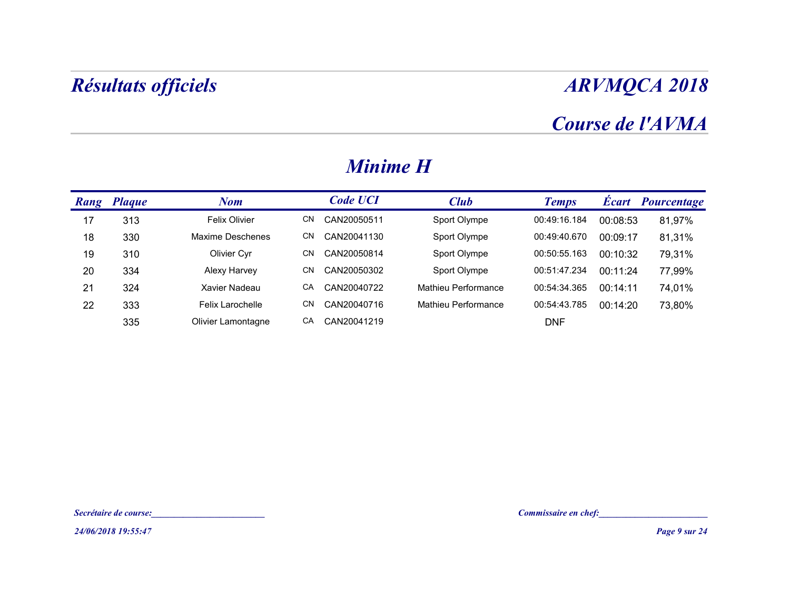### Course de l'AVMA

|    | Résultats officiels   |                    |                   |                     | <b>ARVMQCA 2018</b>  |          |                   |  |  |  |
|----|-----------------------|--------------------|-------------------|---------------------|----------------------|----------|-------------------|--|--|--|
|    |                       |                    |                   |                     |                      |          | Course de l'AVMA  |  |  |  |
|    |                       |                    | <b>Minime H</b>   |                     |                      |          |                   |  |  |  |
|    | Rang Plaque           | <b>Nom</b>         | <b>Code UCI</b>   | <b>Club</b>         | <b>Temps</b>         |          | Écart Pourcentage |  |  |  |
| 17 | 313                   | Felix Olivier      | CAN20050511<br>CN | Sport Olympe        | 00:49:16.184         | 00:08:53 | 81,97%            |  |  |  |
| 18 | 330                   | Maxime Deschenes   | CN<br>CAN20041130 | Sport Olympe        | 00:49:40.670         | 00:09:17 | 81,31%            |  |  |  |
| 19 | 310                   | Olivier Cyr        | CN<br>CAN20050814 | Sport Olympe        | 00:50:55.163         | 00:10:32 | 79,31%            |  |  |  |
| 20 | 334                   | Alexy Harvey       | CN<br>CAN20050302 | Sport Olympe        | 00:51:47.234         | 00:11:24 | 77,99%            |  |  |  |
| 21 | 324                   | Xavier Nadeau      | CA<br>CAN20040722 | Mathieu Performance | 00:54:34.365         | 00:14:11 | 74,01%            |  |  |  |
| 22 | 333                   | Felix Larochelle   | CN<br>CAN20040716 | Mathieu Performance | 00:54:43.785         | 00:14:20 | 73,80%            |  |  |  |
|    | 335                   | Olivier Lamontagne | CA<br>CAN20041219 |                     | <b>DNF</b>           |          |                   |  |  |  |
|    |                       |                    |                   |                     |                      |          |                   |  |  |  |
|    |                       |                    |                   |                     |                      |          |                   |  |  |  |
|    |                       |                    |                   |                     |                      |          |                   |  |  |  |
|    |                       |                    |                   |                     |                      |          |                   |  |  |  |
|    | Secrétaire de course: |                    |                   |                     | Commissaire en chef: |          |                   |  |  |  |
|    | 24/06/2018 19:55:47   |                    |                   |                     |                      |          | Page 9 sur 24     |  |  |  |

#### Minime H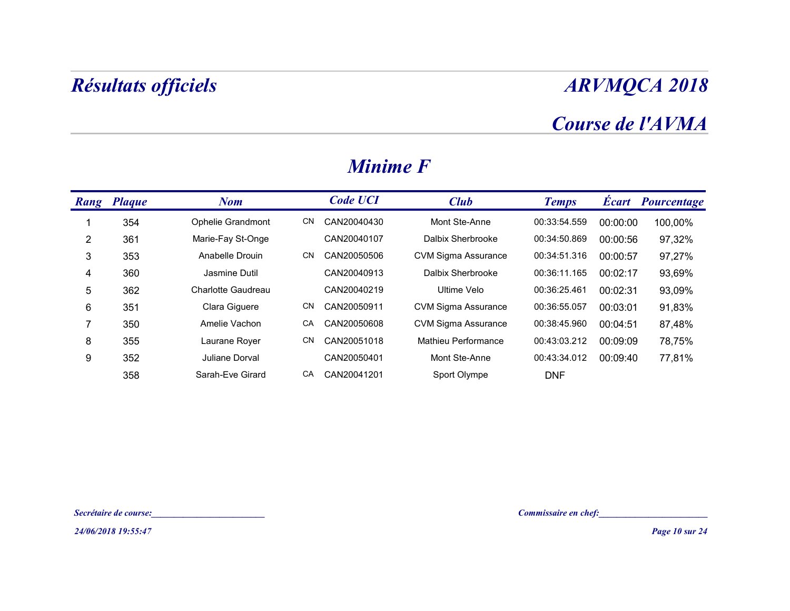## Course de l'AVMA

| <b>ARVMQCA 2018</b>                                |          |              |                            |                 |           |                       | <b>Résultats officiels</b> |                |
|----------------------------------------------------|----------|--------------|----------------------------|-----------------|-----------|-----------------------|----------------------------|----------------|
| Course de l'AVMA                                   |          |              |                            | <b>Minime F</b> |           |                       |                            |                |
| <b>Écart Pourcentage</b>                           |          | <b>Temps</b> | <b>Club</b>                | <b>Code UCI</b> |           | <b>Nom</b>            | Rang Plaque                |                |
| 100,00%                                            | 00:00:00 | 00:33:54.559 | Mont Ste-Anne              | CAN20040430     | CN        | Ophelie Grandmont     | 354                        | -1             |
| 97,32%                                             | 00:00:56 | 00:34:50.869 | Dalbix Sherbrooke          | CAN20040107     |           | Marie-Fay St-Onge     | 361                        | $\sqrt{2}$     |
| 97,27%                                             | 00:00:57 | 00:34:51.316 | <b>CVM Sigma Assurance</b> | CAN20050506     | <b>CN</b> | Anabelle Drouin       | 353                        | $\mathbf{3}$   |
| 93,69%                                             | 00:02:17 | 00:36:11.165 | Dalbix Sherbrooke          | CAN20040913     |           | Jasmine Dutil         | 360                        | $\overline{4}$ |
| 93,09%                                             | 00:02:31 | 00:36:25.461 | Ultime Velo                | CAN20040219     |           | Charlotte Gaudreau    | 362                        | $\sqrt{5}$     |
| 91,83%                                             | 00:03:01 | 00:36:55.057 | <b>CVM Sigma Assurance</b> | CAN20050911     | CN        | Clara Giguere         | 351                        | 6              |
| 87,48%                                             | 00:04:51 | 00:38:45.960 | <b>CVM Sigma Assurance</b> | CAN20050608     | CA        | Amelie Vachon         | 350                        | $\overline{7}$ |
| 78,75%                                             | 00:09:09 | 00:43:03.212 | Mathieu Performance        | CAN20051018     | CN        | Laurane Royer         | 355                        | 8              |
| 77,81%                                             | 00:09:40 | 00:43:34.012 | Mont Ste-Anne              | CAN20050401     |           | Juliane Dorval        | 352                        | 9              |
|                                                    |          | <b>DNF</b>   | Sport Olympe               | CA CAN20041201  |           | Sarah-Eve Girard      | 358                        |                |
|                                                    |          |              |                            |                 |           |                       |                            |                |
| Commissaire en chef:<br><u>Commissaire en chef</u> |          |              |                            |                 |           | Secrétaire de course: |                            |                |
| Page 10 sur 24                                     |          |              |                            |                 |           |                       | 24/06/2018 19:55:47        |                |

#### Minime F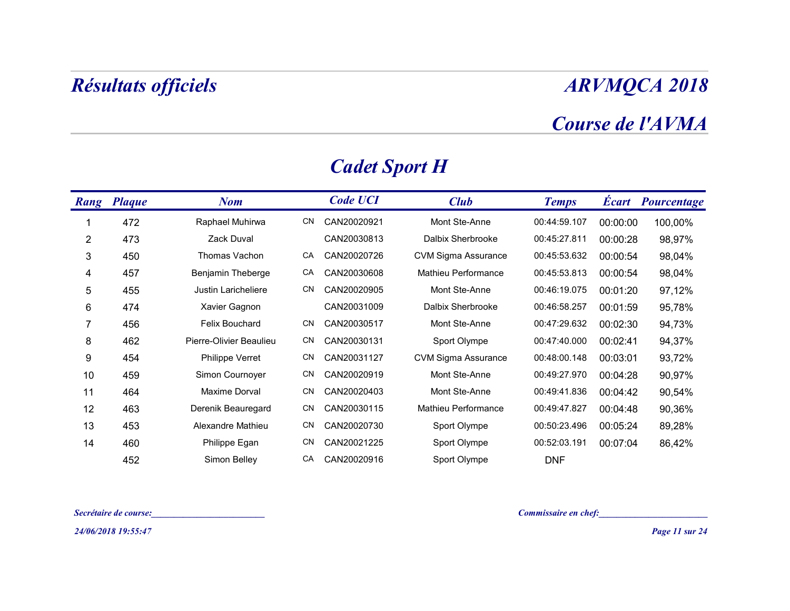### Course de l'AVMA

|                | Résultats officiels   |                                                |    |                      |                            |                        |          | <b>ARVMQCA 2018</b>      |
|----------------|-----------------------|------------------------------------------------|----|----------------------|----------------------------|------------------------|----------|--------------------------|
|                |                       |                                                |    |                      |                            |                        |          | Course de l'AVMA         |
|                |                       |                                                |    | <b>Cadet Sport H</b> |                            |                        |          |                          |
|                | Rang Plaque           | <b>Nom</b>                                     |    | <b>Code UCI</b>      | <b>Club</b>                | <b>Temps</b>           |          | <b>Écart Pourcentage</b> |
| 1              | 472                   | Raphael Muhirwa                                |    | CN CAN20020921       | Mont Ste-Anne              | 00:44:59.107           | 00:00:00 | 100,00%                  |
| $\overline{2}$ | 473                   | Zack Duval                                     |    | CAN20030813          | Dalbix Sherbrooke          | 00:45:27.811           | 00:00:28 | 98,97%                   |
| 3              | 450                   | Thomas Vachon                                  | CA | CAN20020726          | <b>CVM Sigma Assurance</b> | 00:45:53.632           | 00:00:54 | 98,04%                   |
| 4              | 457                   | Benjamin Theberge                              | CA | CAN20030608          | Mathieu Performance        | 00:45:53.813           | 00:00:54 | 98,04%                   |
| $\sqrt{5}$     | 455                   | Justin Laricheliere                            | CN | CAN20020905          | Mont Ste-Anne              | 00:46:19.075           | 00:01:20 | 97,12%                   |
| 6              | 474                   | Xavier Gagnon                                  |    | CAN20031009          | Dalbix Sherbrooke          | 00:46:58.257           | 00:01:59 | 95,78%                   |
| $\overline{7}$ | 456                   | Felix Bouchard                                 |    | CN CAN20030517       | Mont Ste-Anne              | 00:47:29.632           | 00:02:30 | 94,73%                   |
| 8              | 462                   | Pierre-Olivier Beaulieu                        |    | CN CAN20030131       | Sport Olympe               | 00:47:40.000           | 00:02:41 | 94,37%                   |
| 9              | 454                   | <b>Philippe Verret</b>                         |    | CN CAN20031127       | <b>CVM Sigma Assurance</b> | 00:48:00.148           | 00:03:01 | 93,72%                   |
| 10             | 459                   | Simon Cournoyer                                | CN | CAN20020919          | Mont Ste-Anne              | 00:49:27.970           | 00:04:28 | 90,97%                   |
| 11             | 464                   | Maxime Dorval                                  |    | CN CAN20020403       | Mont Ste-Anne              | 00:49:41.836  00:04:42 |          | 90,54%                   |
| 12             | 463                   | Derenik Beauregard                             |    | CN CAN20030115       | Mathieu Performance        | 00:49:47.827           | 00:04:48 | 90,36%                   |
| 13             | 453                   | Alexandre Mathieu                              |    | CN CAN20020730       | Sport Olympe               | 00:50:23.496           | 00:05:24 | 89,28%                   |
| 14             | 460                   | Philippe Egan                                  |    | CN CAN20021225       | Sport Olympe               | 00:52:03.191           | 00:07:04 | 86,42%                   |
|                | 452                   | Simon Belley                                   |    | CA CAN20020916       | Sport Olympe               | <b>DNF</b>             |          |                          |
|                | Secrétaire de course: |                                                |    |                      |                            | Commissaire en chef:   |          |                          |
|                | 24/06/2018 19:55:47   | <u> 1980 - Jan Barbara Barbara, manazarta </u> |    |                      |                            |                        |          | Page 11 sur 24           |

### Cadet Sport H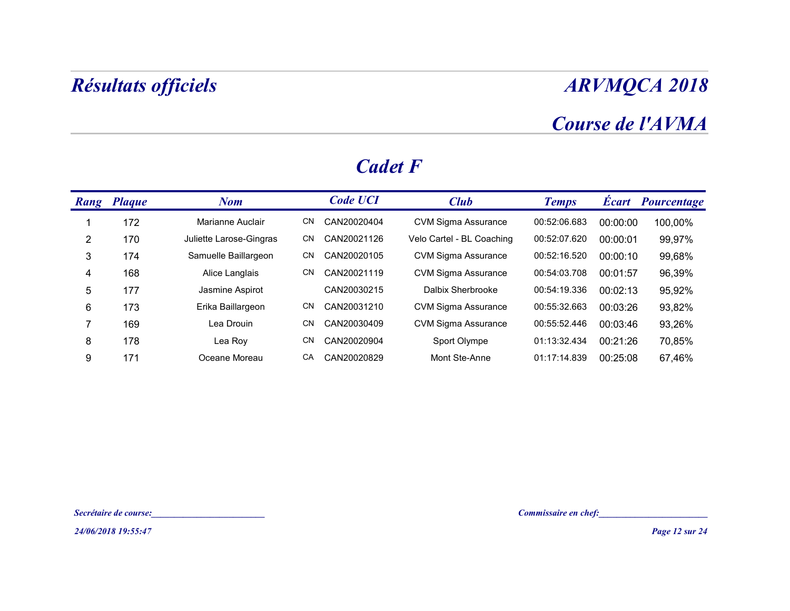## Course de l'AVMA

|                                                                        | <b>ARVMQCA 2018</b>                                |          |                          |  |  |  |
|------------------------------------------------------------------------|----------------------------------------------------|----------|--------------------------|--|--|--|
|                                                                        |                                                    |          | Course de l'AVMA         |  |  |  |
| <b>Cadet F</b>                                                         |                                                    |          |                          |  |  |  |
| <b>Code UCI</b><br><b>Club</b>                                         | <b>Temps</b>                                       |          | <b>Écart Pourcentage</b> |  |  |  |
| Marianne Auclair<br>CN CAN20020404<br><b>CVM Sigma Assurance</b>       | 00:52:06.683                                       | 00:00:00 | 100,00%                  |  |  |  |
| Juliette Larose-Gingras<br>CN CAN20021126<br>Velo Cartel - BL Coaching | 00:52:07.620                                       | 00:00:01 | 99,97%                   |  |  |  |
| Samuelle Baillargeon<br>CN CAN20020105<br><b>CVM Sigma Assurance</b>   | 00:52:16.520                                       | 00:00:10 | 99,68%                   |  |  |  |
| <b>CVM Sigma Assurance</b><br>Alice Langlais<br>CN CAN20021119         | 00:54:03.708                                       | 00:01:57 | 96,39%                   |  |  |  |
| CAN20030215<br>Dalbix Sherbrooke<br>Jasmine Aspirot                    | 00:54:19.336                                       | 00:02:13 | 95,92%                   |  |  |  |
| CN<br>Erika Baillargeon<br>CAN20031210<br><b>CVM Sigma Assurance</b>   | 00:55:32.663                                       | 00:03:26 | 93,82%                   |  |  |  |
| CN<br>CAN20030409<br><b>CVM Sigma Assurance</b>                        | 00:55:52.446                                       | 00:03:46 | 93,26%                   |  |  |  |
| CN CAN20020904<br>Sport Olympe                                         | 01:13:32.434                                       | 00:21:26 | 70,85%                   |  |  |  |
| CA<br>Oceane Moreau<br>CAN20020829<br>Mont Ste-Anne                    | 01:17:14.839                                       | 00:25:08 | 67,46%                   |  |  |  |
|                                                                        |                                                    |          |                          |  |  |  |
|                                                                        |                                                    |          |                          |  |  |  |
| <u> 1980 - Johann Barbara, martxa a</u>                                | Commissaire en chef:<br><u>Commissaire en chef</u> |          |                          |  |  |  |
|                                                                        |                                                    |          | Page 12 sur 24           |  |  |  |

#### Cadet F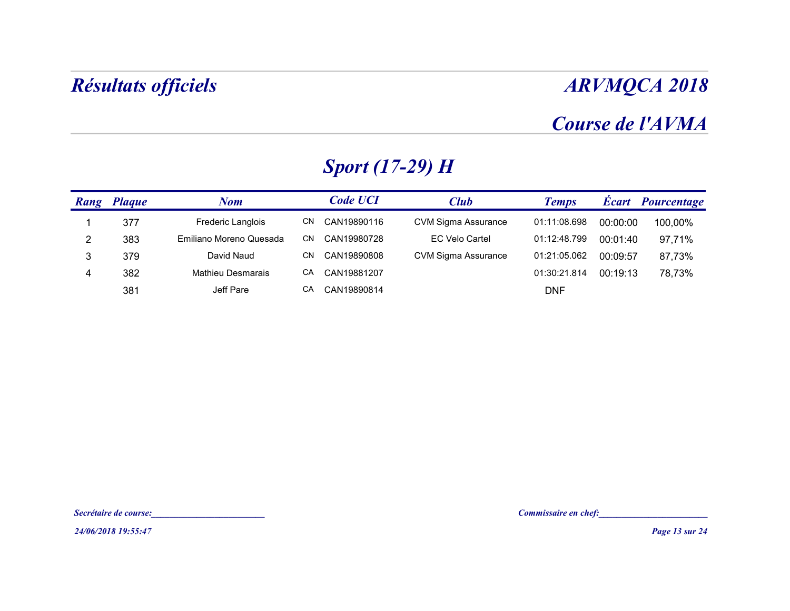## Course de l'AVMA

|                         |                       | <b>Résultats officiels</b> |                        |                            |                                                      |          | <b>ARVMQCA 2018</b> |
|-------------------------|-----------------------|----------------------------|------------------------|----------------------------|------------------------------------------------------|----------|---------------------|
|                         |                       |                            |                        |                            |                                                      |          | Course de l'AVMA    |
|                         |                       |                            | <b>Sport (17-29) H</b> |                            |                                                      |          |                     |
| Rang Plaque             |                       | <b>Nom</b>                 | <b>Code UCI</b>        | <b>Club</b>                | <b>Temps</b>                                         |          | Écart Pourcentage   |
| -1                      | 377                   | Frederic Langlois          | CN CAN19890116         | <b>CVM Sigma Assurance</b> | 01:11:08.698                                         | 00:00:00 | 100,00%             |
| $\overline{2}$          | 383                   | Emiliano Moreno Quesada    | CN CAN19980728         | <b>EC Velo Cartel</b>      | 01:12:48.799                                         | 00:01:40 | 97,71%              |
| $\mathbf{3}$            | 379                   | David Naud                 | CN CAN19890808         | <b>CVM Sigma Assurance</b> | 01:21:05.062                                         | 00:09:57 | 87,73%              |
| $\overline{\mathbf{4}}$ | 382                   | Mathieu Desmarais          | CA CAN19881207         |                            | 01:30:21.814                                         | 00:19:13 | 78,73%              |
|                         | 381                   | Jeff Pare                  | CA CAN19890814         |                            | <b>DNF</b>                                           |          |                     |
|                         |                       |                            |                        |                            |                                                      |          |                     |
|                         |                       |                            |                        |                            |                                                      |          |                     |
|                         |                       |                            |                        |                            |                                                      |          |                     |
|                         |                       |                            |                        |                            |                                                      |          |                     |
|                         | Secrétaire de course: |                            |                        |                            | Commissaire en chef:<br><u>Commissaire en chef</u> : |          |                     |
|                         | 24/06/2018 19:55:47   |                            |                        |                            |                                                      |          | Page 13 sur 24      |

## Sport (17-29) H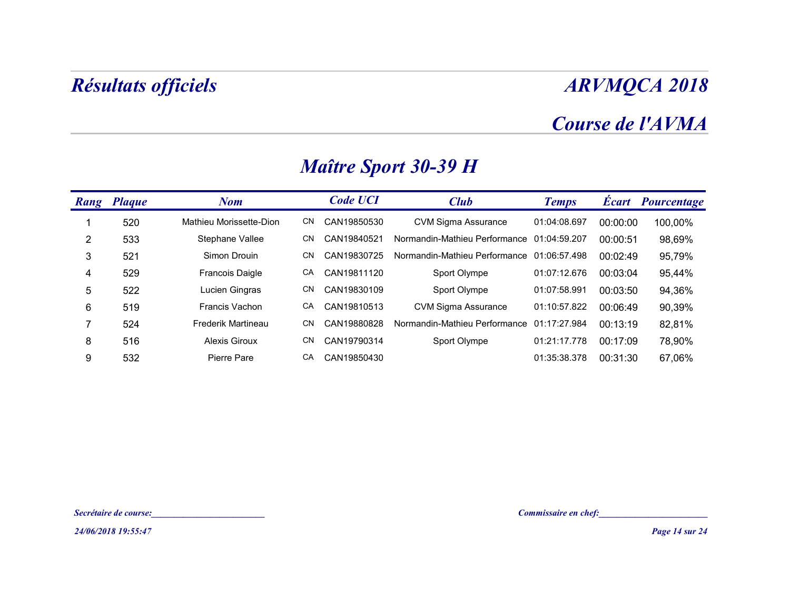### Course de l'AVMA

|                 |                       | <b>Résultats officiels</b>                        |    |                 | <b>ARVMQCA 2018</b><br>Course de l'AVMA    |              |          |                          |
|-----------------|-----------------------|---------------------------------------------------|----|-----------------|--------------------------------------------|--------------|----------|--------------------------|
|                 |                       |                                                   |    |                 |                                            |              |          |                          |
|                 |                       |                                                   |    |                 | <b>Maître Sport 30-39 H</b>                |              |          |                          |
|                 | Rang Plaque           | <b>Nom</b>                                        |    | <b>Code UCI</b> | <b>Club</b>                                | <b>Temps</b> |          | <b>Écart</b> Pourcentage |
| -1              | 520                   | Mathieu Morissette-Dion                           | CN | CAN19850530     | <b>CVM Sigma Assurance</b>                 | 01:04:08.697 | 00:00:00 | 100,00%                  |
| $\overline{2}$  | 533                   | Stephane Vallee                                   | CN | CAN19840521     | Normandin-Mathieu Performance 01:04:59.207 |              | 00:00:51 | 98,69%                   |
| $\sqrt{3}$      | 521                   | Simon Drouin                                      | CN | CAN19830725     | Normandin-Mathieu Performance 01:06:57.498 |              | 00:02:49 | 95,79%                   |
| 4               | 529                   | Francois Daigle                                   | CA | CAN19811120     | Sport Olympe                               | 01:07:12.676 | 00:03:04 | 95,44%                   |
| $\mathbf 5$     | 522                   | Lucien Gingras                                    | CN | CAN19830109     | Sport Olympe                               | 01:07:58.991 | 00:03:50 | 94,36%                   |
| $6\phantom{.}6$ | 519                   | Francis Vachon                                    | CA | CAN19810513     | <b>CVM Sigma Assurance</b>                 | 01:10:57.822 | 00:06:49 | 90,39%                   |
| $\overline{7}$  | 524                   | Frederik Martineau                                | CN | CAN19880828     | Normandin-Mathieu Performance              | 01:17:27.984 | 00:13:19 | 82,81%                   |
| 8               | 516                   | <b>Alexis Giroux</b>                              | CN | CAN19790314     | Sport Olympe                               | 01:21:17.778 | 00:17:09 | 78,90%                   |
| $9\,$           | 532                   | Pierre Pare                                       | CA | CAN19850430     |                                            | 01:35:38.378 | 00:31:30 | 67,06%                   |
|                 |                       |                                                   |    |                 |                                            |              |          |                          |
|                 |                       |                                                   |    |                 |                                            |              |          |                          |
|                 |                       |                                                   |    |                 |                                            |              |          |                          |
|                 | Secrétaire de course: | <u> 1989 - Johann Barn, mars eta bainar eta i</u> |    |                 |                                            |              |          | Commissaire en chef:     |
|                 | 24/06/2018 19:55:47   |                                                   |    |                 |                                            |              |          | Page 14 sur 24           |

## Maître Sport 30-39 H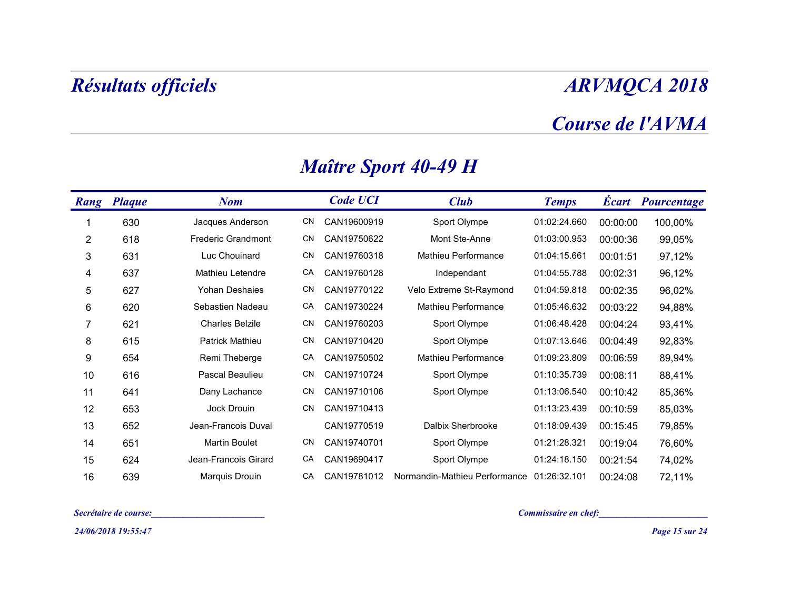#### Course de l'AVMA

|                | <b>Résultats officiels</b> |                           |     |                 |                                                        |                         |          | <b>ARVMQCA 2018</b>      |
|----------------|----------------------------|---------------------------|-----|-----------------|--------------------------------------------------------|-------------------------|----------|--------------------------|
|                |                            |                           |     |                 |                                                        |                         |          | Course de l'AVMA         |
|                |                            |                           |     |                 | <b>Maître Sport 40-49 H</b>                            |                         |          |                          |
|                | <b>Rang Plaque</b>         | <b>Nom</b>                |     | <b>Code UCI</b> | <b>Club</b>                                            | <b>Temps</b>            |          | <b>Écart</b> Pourcentage |
|                | 630                        | Jacques Anderson          | CN  | CAN19600919     | Sport Olympe                                           | 01:02:24.660            | 00:00:00 | 100,00%                  |
| $\overline{2}$ | 618                        | <b>Frederic Grandmont</b> | CN  | CAN19750622     | Mont Ste-Anne                                          | 01:03:00.953            | 00:00:36 | 99,05%                   |
| $\mathbf{3}$   | 631                        | Luc Chouinard             | CN  | CAN19760318     | Mathieu Performance                                    | 01:04:15.661            | 00:01:51 | 97,12%                   |
| 4              | 637                        | Mathieu Letendre          | CA  | CAN19760128     | Independant                                            | 01:04:55.788            | 00:02:31 | 96,12%                   |
| $\sqrt{5}$     | 627                        | Yohan Deshaies            | CN  | CAN19770122     | Velo Extreme St-Raymond                                | 01:04:59.818            | 00:02:35 | 96,02%                   |
| $\,6$          | 620                        | Sebastien Nadeau          | CA  | CAN19730224     | Mathieu Performance                                    | 01:05:46.632            | 00:03:22 | 94,88%                   |
| 7              | 621                        | <b>Charles Belzile</b>    | CN  | CAN19760203     | Sport Olympe                                           | 01:06:48.428            | 00:04:24 | 93,41%                   |
| 8              | 615                        | Patrick Mathieu           | CN. | CAN19710420     | Sport Olympe                                           | 01:07:13.646            | 00:04:49 | 92,83%                   |
| 9              | 654                        | Remi Theberge             | CA  | CAN19750502     | Mathieu Performance                                    | 01:09:23.809            | 00:06:59 | 89,94%                   |
| 10             | 616                        | Pascal Beaulieu           | CN. | CAN19710724     | Sport Olympe                                           | 01:10:35.739            | 00:08:11 | 88,41%                   |
| 11             | 641                        | Dany Lachance             | CN  | CAN19710106     | Sport Olympe                                           | 01:13:06.540   00:10:42 |          | 85,36%                   |
| 12             | 653                        | Jock Drouin               |     | CN CAN19710413  |                                                        | 01:13:23.439            | 00:10:59 | 85,03%                   |
| 13             | 652                        | Jean-Francois Duval       |     | CAN19770519     | Dalbix Sherbrooke                                      | 01:18:09.439            | 00:15:45 | 79,85%                   |
| 14             | 651                        | <b>Martin Boulet</b>      |     | CN CAN19740701  | Sport Olympe                                           | 01:21:28.321            | 00:19:04 | 76,60%                   |
| 15             | 624                        | Jean-Francois Girard      |     | CA CAN19690417  | Sport Olympe                                           | 01:24:18.150            | 00:21:54 | 74,02%                   |
| 16             | 639                        | Marquis Drouin            | CA  |                 | CAN19781012 Normandin-Mathieu Performance 01:26:32.101 |                         | 00:24:08 | 72,11%                   |
|                | Secrétaire de course:      |                           |     |                 |                                                        | Commissaire en chef:    |          |                          |
|                | 24/06/2018 19:55:47        |                           |     |                 |                                                        |                         |          | Page 15 sur 24           |

### Maître Sport 40-49 H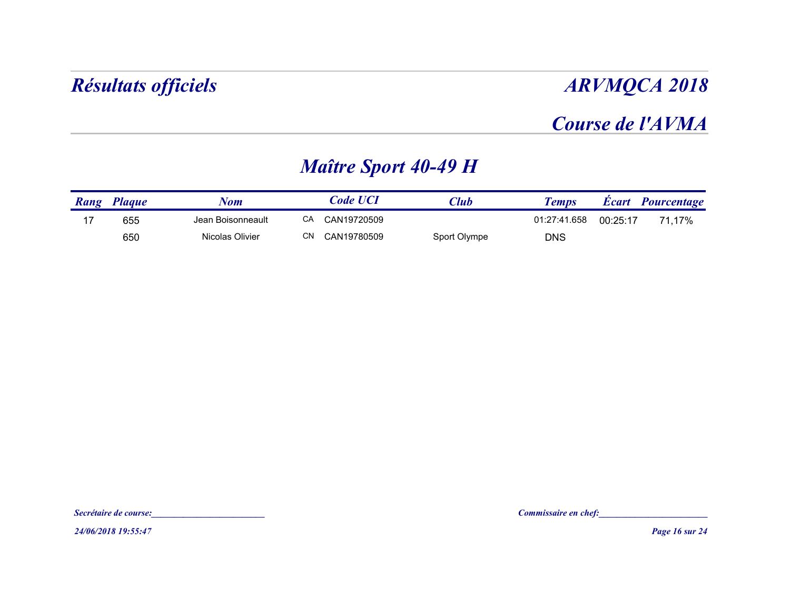### Course de l'AVMA

### Maître Sport 40-49 H

| <b>ARVMQCA 2018</b>                         |             |                             |                   | Résultats officiels |             |
|---------------------------------------------|-------------|-----------------------------|-------------------|---------------------|-------------|
| Course de l'AVMA                            |             |                             |                   |                     |             |
|                                             |             | <b>Maître Sport 40-49 H</b> |                   |                     |             |
| <b>Écart</b><br>Pourcentage<br><b>Temps</b> | <b>Club</b> | <b>Code UCI</b>             | <b>Nom</b>        | <b>Plaque</b>       | <b>Rang</b> |
| 01:27:41.658<br>00:25:17<br>71,17%          |             | CA CAN19720509              | Jean Boisonneault | 655                 | 17          |
|                                             |             | <b>CN</b><br>CAN19780509    | Nicolas Olivier   | 650                 |             |

24/06/2018 19:55:47 Page 16 sur 24 Secrétaire de course:<br>Secrétaire de course:<br>24/06/2018 19:55:47<br>Page 16 sur 24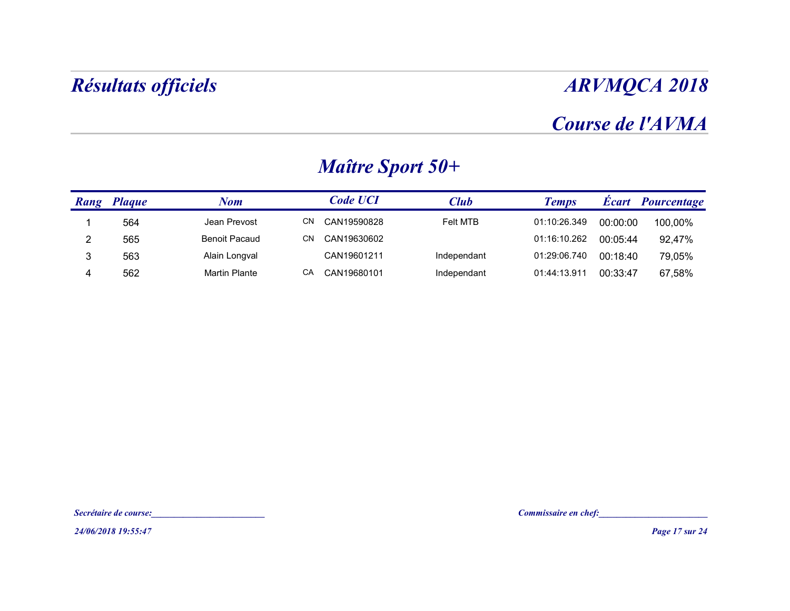### Course de l'AVMA

|                | Résultats officiels                          |                                                |                         |             |                      |          | <b>ARVMQCA 2018</b> |
|----------------|----------------------------------------------|------------------------------------------------|-------------------------|-------------|----------------------|----------|---------------------|
|                |                                              |                                                |                         |             |                      |          | Course de l'AVMA    |
|                |                                              |                                                | <b>Maître Sport 50+</b> |             |                      |          |                     |
|                | <b>Rang Plaque</b>                           | <b>Nom</b>                                     | <b>Code UCI</b>         | <b>Club</b> | <b>Temps</b>         |          | Écart Pourcentage   |
| -1             | 564                                          | Jean Prevost                                   | CN CAN19590828          | Felt MTB    | 01:10:26.349         | 00:00:00 | 100,00%             |
| $\overline{2}$ | 565                                          | <b>Benoit Pacaud</b>                           | CN CAN19630602          |             | 01:16:10.262         | 00:05:44 | 92,47%              |
| $\mathbf{3}$   | 563                                          | Alain Longval                                  | CAN19601211             | Independant | 01:29:06.740         | 00:18:40 | 79,05%              |
|                |                                              |                                                |                         |             |                      |          |                     |
|                | Secrétaire de course:<br>24/06/2018 19:55:47 | <u> 1989 - Paris Amerikaanse kommunister (</u> |                         |             | Commissaire en chef: |          | Page 17 sur 24      |

### Maître Sport 50+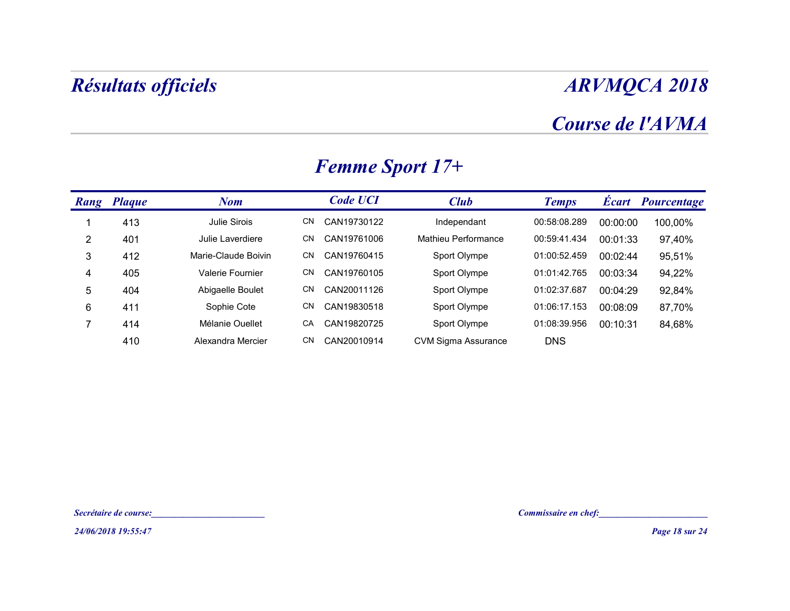## Course de l'AVMA

| Course de l'AVMA<br><b>Femme Sport 17+</b><br><b>Code UCI</b><br>Écart Pourcentage<br><b>Rang Plaque</b><br><b>Club</b><br><b>Nom</b><br><b>Temps</b><br>413<br>Julie Sirois<br>CN CAN19730122<br>00:58:08.289<br>Independant<br>00:00:00<br>$\mathbf{1}$<br>$\overline{2}$<br>Julie Laverdiere<br>CN CAN19761006<br>Mathieu Performance<br>00:59:41.434<br>401<br>00:01:33<br>$\sqrt{3}$<br>Marie-Claude Boivin<br>412<br>CN<br>CAN19760415<br>Sport Olympe<br>01:00:52.459<br>00:02:44<br>Valerie Fournier<br>4<br>405<br>CAN19760105<br>Sport Olympe<br>01:01:42.765<br>00:03:34<br>CN<br>$\sqrt{5}$<br>404<br>Abigaelle Boulet<br>CN<br>CAN20011126<br>Sport Olympe<br>01:02:37.687<br>00:04:29<br>$\,6\,$<br>Sophie Cote<br>CN<br>01:06:17.153<br>411<br>CAN19830518<br>Sport Olympe<br>00:08:09<br>$\overline{7}$<br>Mélanie Ouellet<br>414<br>CAN19820725<br>Sport Olympe<br>01:08:39.956<br>00:10:31<br>CA<br>410<br>Alexandra Mercier<br>CN CAN20010914<br><b>CVM Sigma Assurance</b><br><b>DNS</b> |  |  |  | <b>ARVMQCA 2018</b>   |
|--------------------------------------------------------------------------------------------------------------------------------------------------------------------------------------------------------------------------------------------------------------------------------------------------------------------------------------------------------------------------------------------------------------------------------------------------------------------------------------------------------------------------------------------------------------------------------------------------------------------------------------------------------------------------------------------------------------------------------------------------------------------------------------------------------------------------------------------------------------------------------------------------------------------------------------------------------------------------------------------------------------|--|--|--|-----------------------|
|                                                                                                                                                                                                                                                                                                                                                                                                                                                                                                                                                                                                                                                                                                                                                                                                                                                                                                                                                                                                              |  |  |  |                       |
|                                                                                                                                                                                                                                                                                                                                                                                                                                                                                                                                                                                                                                                                                                                                                                                                                                                                                                                                                                                                              |  |  |  |                       |
|                                                                                                                                                                                                                                                                                                                                                                                                                                                                                                                                                                                                                                                                                                                                                                                                                                                                                                                                                                                                              |  |  |  |                       |
|                                                                                                                                                                                                                                                                                                                                                                                                                                                                                                                                                                                                                                                                                                                                                                                                                                                                                                                                                                                                              |  |  |  | 100,00%               |
|                                                                                                                                                                                                                                                                                                                                                                                                                                                                                                                                                                                                                                                                                                                                                                                                                                                                                                                                                                                                              |  |  |  | 97,40%                |
|                                                                                                                                                                                                                                                                                                                                                                                                                                                                                                                                                                                                                                                                                                                                                                                                                                                                                                                                                                                                              |  |  |  | 95,51%                |
|                                                                                                                                                                                                                                                                                                                                                                                                                                                                                                                                                                                                                                                                                                                                                                                                                                                                                                                                                                                                              |  |  |  | 94,22%                |
|                                                                                                                                                                                                                                                                                                                                                                                                                                                                                                                                                                                                                                                                                                                                                                                                                                                                                                                                                                                                              |  |  |  | 92,84%                |
|                                                                                                                                                                                                                                                                                                                                                                                                                                                                                                                                                                                                                                                                                                                                                                                                                                                                                                                                                                                                              |  |  |  | 87,70%                |
|                                                                                                                                                                                                                                                                                                                                                                                                                                                                                                                                                                                                                                                                                                                                                                                                                                                                                                                                                                                                              |  |  |  | 84,68%                |
|                                                                                                                                                                                                                                                                                                                                                                                                                                                                                                                                                                                                                                                                                                                                                                                                                                                                                                                                                                                                              |  |  |  |                       |
|                                                                                                                                                                                                                                                                                                                                                                                                                                                                                                                                                                                                                                                                                                                                                                                                                                                                                                                                                                                                              |  |  |  |                       |
| Commissaire en chef:<br>Secrétaire de course:                                                                                                                                                                                                                                                                                                                                                                                                                                                                                                                                                                                                                                                                                                                                                                                                                                                                                                                                                                |  |  |  | <b>Page 18 sur 24</b> |

### Femme Sport 17+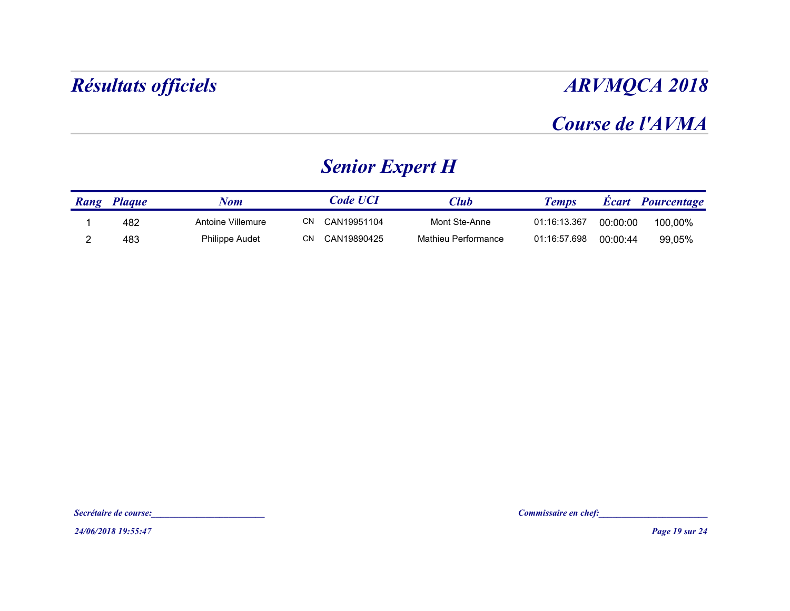### Course de l'AVMA

## Senior Expert H

| <b>ARVMQCA 2018</b> |              |                     |                        |                   | Résultats officiels |                |
|---------------------|--------------|---------------------|------------------------|-------------------|---------------------|----------------|
| Course de l'AVMA    |              |                     |                        |                   |                     |                |
|                     |              |                     | <b>Senior Expert H</b> |                   |                     |                |
| Écart Pourcentage   | <b>Temps</b> | <b>Club</b>         | <b>Code UCI</b>        | <b>Nom</b>        | Rang Plaque         |                |
| 00:00:00<br>100,00% | 01:16:13.367 | Mont Ste-Anne       | CN CAN19951104         | Antoine Villemure | 482                 |                |
| 00:00:44<br>99,05%  | 01:16:57.698 | Mathieu Performance | CN CAN19890425         | Philippe Audet    | 483                 | $\overline{2}$ |

24/06/2018 19:55:47 Page 19 sur 24 Secrétaire de course:<br>Secrétaire de course:<br>24/06/2018 19:55:47<br>Page 19 sur 24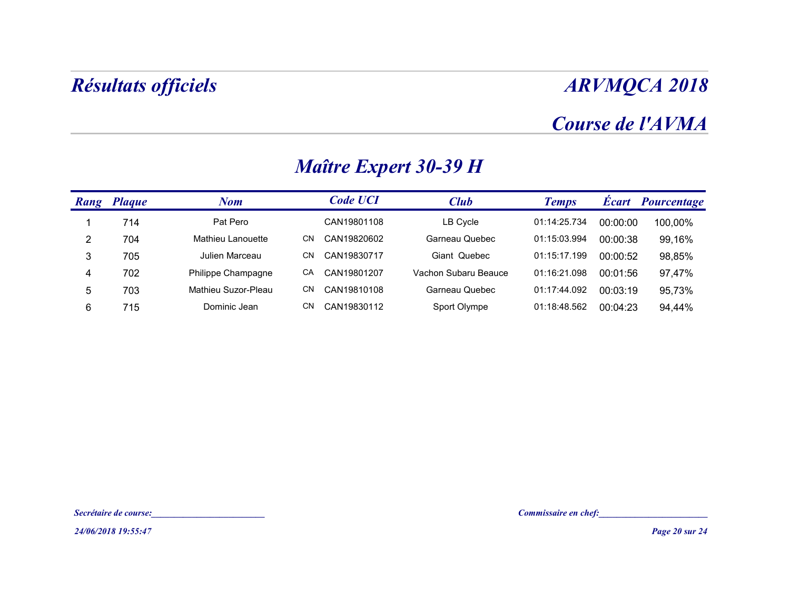## Course de l'AVMA

|                    | <b>Résultats officiels</b> |                                                                                                                      |                              |                      | <b>ARVMQCA 2018</b>                                  |          |                   |  |  |
|--------------------|----------------------------|----------------------------------------------------------------------------------------------------------------------|------------------------------|----------------------|------------------------------------------------------|----------|-------------------|--|--|
|                    |                            |                                                                                                                      |                              |                      | Course de l'AVMA                                     |          |                   |  |  |
|                    |                            |                                                                                                                      | <b>Maître Expert 30-39 H</b> |                      |                                                      |          |                   |  |  |
| <b>Rang Plaque</b> |                            | <b>Nom</b>                                                                                                           | <b>Code UCI</b>              | <b>Club</b>          | <b>Temps</b>                                         |          | Écart Pourcentage |  |  |
| -1                 | 714                        | Pat Pero                                                                                                             | CAN19801108                  | LB Cycle             | 01:14:25.734                                         | 00:00:00 | 100,00%           |  |  |
| $\overline{2}$     | 704                        | Mathieu Lanouette                                                                                                    | CN CAN19820602               | Garneau Quebec       | 01:15:03.994                                         | 00:00:38 | 99,16%            |  |  |
| $\mathbf{3}$       | 705                        | Julien Marceau                                                                                                       | CN CAN19830717               | Giant Quebec         | 01:15:17.199                                         | 00:00:52 | 98,85%            |  |  |
| 4                  | 702                        | Philippe Champagne                                                                                                   | CA CAN19801207               | Vachon Subaru Beauce | 01:16:21.098                                         | 00:01:56 | 97,47%            |  |  |
| $5\phantom{.0}$    | 703                        | Mathieu Suzor-Pleau                                                                                                  | CN CAN19810108               | Garneau Quebec       | 01:17:44.092                                         | 00:03:19 | 95,73%            |  |  |
| $\,6\,$            | 715                        | Dominic Jean                                                                                                         | CN CAN19830112               | Sport Olympe         | 01:18:48.562                                         | 00:04:23 | 94,44%            |  |  |
|                    |                            |                                                                                                                      |                              |                      |                                                      |          |                   |  |  |
|                    | Secrétaire de course:      | <u> 1989 - Johann John Stone, mars eta bainar eta industrial eta industrial eta industrial eta industrial eta in</u> |                              |                      | Commissaire en chef:<br><u>Commissaire en chef</u> : |          |                   |  |  |
|                    | 24/06/2018 19:55:47        |                                                                                                                      |                              |                      |                                                      |          | Page 20 sur 24    |  |  |

### Maître Expert 30-39 H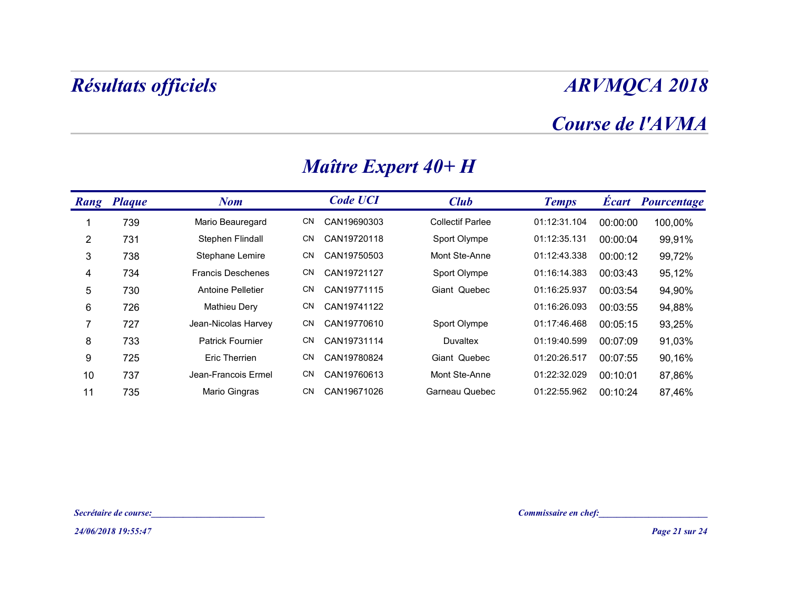### Course de l'AVMA

| <b>Résultats officiels</b> |                                                                                                                      |                     |                         |                         |          | <b>ARVMQCA 2018</b>                     |
|----------------------------|----------------------------------------------------------------------------------------------------------------------|---------------------|-------------------------|-------------------------|----------|-----------------------------------------|
|                            |                                                                                                                      |                     |                         |                         |          | Course de l'AVMA                        |
|                            |                                                                                                                      | Maître Expert 40+ H |                         |                         |          |                                         |
| <b>Rang Plaque</b>         | <b>Nom</b>                                                                                                           | <b>Code UCI</b>     | <b>Club</b>             | <b>Temps</b>            |          | <b>Écart Pourcentage</b>                |
| 739                        | Mario Beauregard                                                                                                     | CN CAN19690303      | <b>Collectif Parlee</b> | 01:12:31.104            | 00:00:00 | 100,00%                                 |
| 731                        | Stephen Flindall                                                                                                     | CN<br>CAN19720118   | Sport Olympe            | 01:12:35.131            | 00:00:04 | 99,91%                                  |
| 738                        | Stephane Lemire                                                                                                      | CN<br>CAN19750503   | Mont Ste-Anne           | 01:12:43.338            | 00:00:12 | 99,72%                                  |
| 734                        | <b>Francis Deschenes</b>                                                                                             | CN<br>CAN19721127   | Sport Olympe            | 01:16:14.383            | 00:03:43 | 95,12%                                  |
| 730                        | Antoine Pelletier                                                                                                    | CN<br>CAN19771115   | Giant Quebec            | 01:16:25.937            | 00:03:54 | 94,90%                                  |
| 726                        | Mathieu Dery                                                                                                         | CN<br>CAN19741122   |                         | 01:16:26.093            | 00:03:55 | 94,88%                                  |
| 727                        | Jean-Nicolas Harvey                                                                                                  | CN<br>CAN19770610   | Sport Olympe            | 01:17:46.468            | 00:05:15 | 93,25%                                  |
| 733                        | Patrick Fournier                                                                                                     | CN<br>CAN19731114   | Duvaltex                | 01:19:40.599            | 00:07:09 | 91,03%                                  |
| 725                        | Eric Therrien                                                                                                        | CN<br>CAN19780824   | Giant Quebec            | 01:20:26.517            | 00:07:55 | 90,16%                                  |
| 737                        | Jean-Francois Ermel                                                                                                  | CN<br>CAN19760613   | Mont Ste-Anne           | 01:22:32.029            | 00:10:01 | 87,86%                                  |
| 735                        | Mario Gingras                                                                                                        | CN CAN19671026      | Garneau Quebec          | 01:22:55.962   00:10:24 |          | 87,46%                                  |
|                            |                                                                                                                      |                     |                         |                         |          |                                         |
| Secrétaire de course:      | <u> 1989 - Johann John Stone, mars eta bainar eta industrial eta industrial eta industrial eta industrial eta in</u> |                     |                         | Commissaire en chef:    |          | <u> 1980 - Johann Barbara, martxa a</u> |
| 24/06/2018 19:55:47        |                                                                                                                      |                     |                         |                         |          | Page 21 sur 24                          |

### Maître Expert 40+ H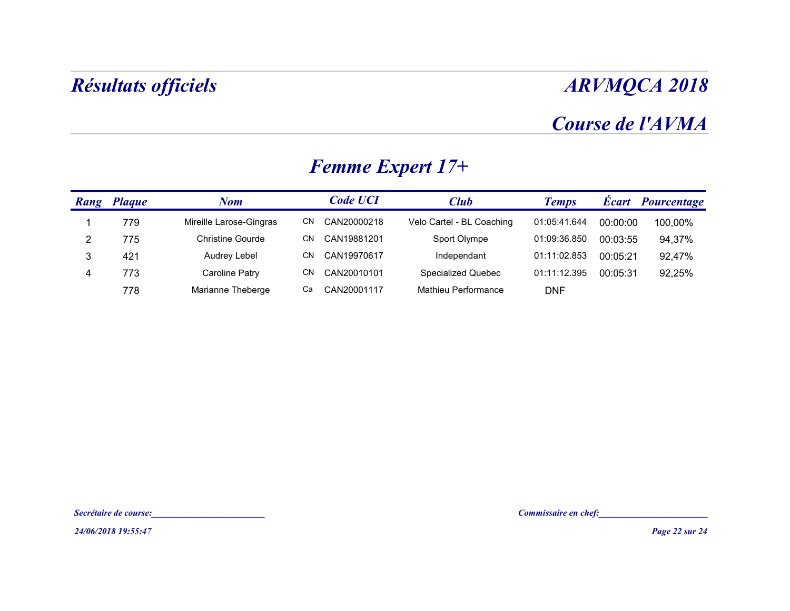## Course de l'AVMA

|                | <b>Résultats officiels</b> |                                             |    |                 |                           |                      |          | <b>ARVMQCA 2018</b> |
|----------------|----------------------------|---------------------------------------------|----|-----------------|---------------------------|----------------------|----------|---------------------|
|                |                            |                                             |    |                 |                           |                      |          | Course de l'AVMA    |
|                |                            |                                             |    |                 | <b>Femme Expert 17+</b>   |                      |          |                     |
|                | <b>Rang Plaque</b>         | <b>Nom</b>                                  |    | <b>Code UCI</b> | <b>Club</b>               | <b>Temps</b>         |          | Écart Pourcentage   |
| $\overline{1}$ | 779                        | Mireille Larose-Gingras                     |    | CN CAN20000218  | Velo Cartel - BL Coaching | 01:05:41.644         | 00:00:00 | 100,00%             |
| $\overline{2}$ | 775                        | <b>Christine Gourde</b>                     |    | CN CAN19881201  | Sport Olympe              | 01:09:36.850         | 00:03:55 | 94,37%              |
| $\mathfrak{S}$ | 421                        | Audrey Lebel                                |    | CN CAN19970617  | Independant               | 01:11:02.853         | 00:05:21 | 92,47%              |
| $\overline{4}$ | 773                        | <b>Caroline Patry</b>                       |    | CN CAN20010101  | <b>Specialized Quebec</b> | 01:11:12.395         | 00:05:31 | 92,25%              |
|                | 778                        | Marianne Theberge                           | Ca | CAN20001117     | Mathieu Performance       | <b>DNF</b>           |          |                     |
|                |                            |                                             |    |                 |                           |                      |          |                     |
|                |                            |                                             |    |                 |                           |                      |          |                     |
|                | Secrétaire de course:      | <u> 1980 - Jan Barbara Barbara, masa ka</u> |    |                 |                           | Commissaire en chef: |          |                     |
|                | 24/06/2018 19:55:47        |                                             |    |                 |                           |                      |          | Page 22 sur 24      |

### Femme Expert 17+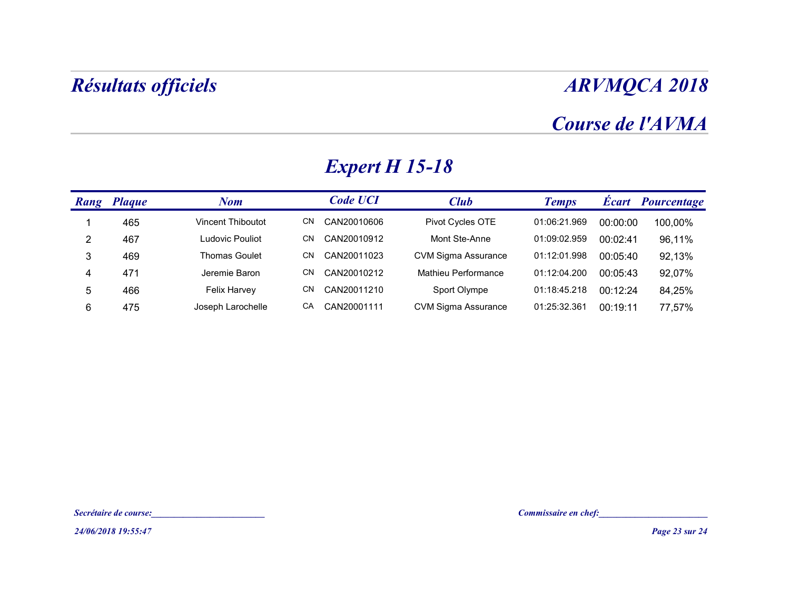### Course de l'AVMA

| <b>ARVMQCA 2018</b> |          |              |                            |                       |                                         | <b>Résultats officiels</b> |                 |
|---------------------|----------|--------------|----------------------------|-----------------------|-----------------------------------------|----------------------------|-----------------|
| Course de l'AVMA    |          |              |                            |                       |                                         |                            |                 |
|                     |          |              |                            | <b>Expert H 15-18</b> |                                         |                            |                 |
| Écart Pourcentage   |          | <b>Temps</b> | <b>Club</b>                | <b>Code UCI</b>       | <b>Nom</b>                              | <b>Rang Plaque</b>         |                 |
| 100,00%             | 00:00:00 | 01:06:21.969 | Pivot Cycles OTE           | CN CAN20010606        | Vincent Thiboutot                       | 465                        | $\mathbf{1}$    |
| 96,11%              | 00:02:41 | 01:09:02.959 | Mont Ste-Anne              | CN CAN20010912        | Ludovic Pouliot                         | 467                        | $\overline{2}$  |
| 92,13%              | 00:05:40 | 01:12:01.998 | <b>CVM Sigma Assurance</b> | CN CAN20011023        | <b>Thomas Goulet</b>                    | 469                        | $\mathbf{3}$    |
| 92,07%              | 00:05:43 | 01:12:04.200 | Mathieu Performance        | CN CAN20010212        | Jeremie Baron                           | 471                        | 4               |
| 84,25%              | 00:12:24 | 01:18:45.218 | Sport Olympe               | CN CAN20011210        | Felix Harvey                            | 466                        | $5\phantom{.0}$ |
| 77,57%              | 00:19:11 | 01:25:32.361 | <b>CVM Sigma Assurance</b> | CA CAN20001111        | Joseph Larochelle                       | 475                        | $6\phantom{.}6$ |
|                     |          |              |                            |                       |                                         |                            |                 |
|                     |          |              |                            |                       | <u> 1990 - Johann Barbara, martin a</u> | Secrétaire de course:      |                 |
| Page 23 sur 24      |          |              |                            |                       |                                         | 24/06/2018 19:55:47        |                 |

## Expert H 15-18